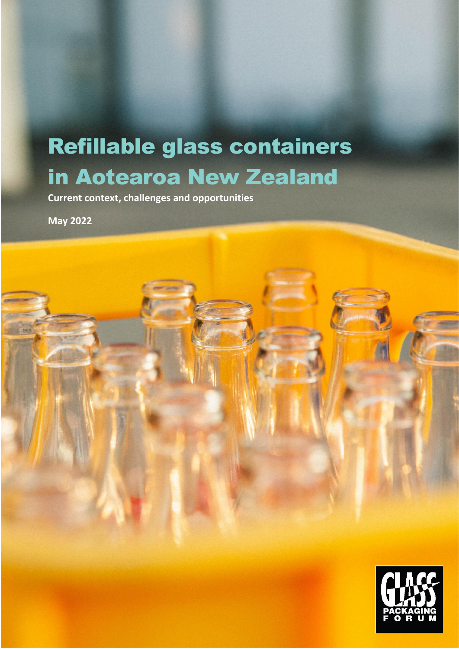# Refillable glass containers in Aotearoa New Zealand

**Current context, challenges and opportunities**

**May 2022**

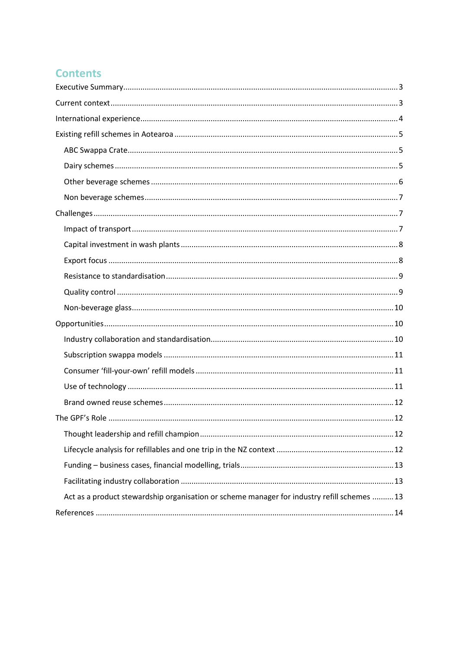## **Contents**

| Act as a product stewardship organisation or scheme manager for industry refill schemes  13 |
|---------------------------------------------------------------------------------------------|
|                                                                                             |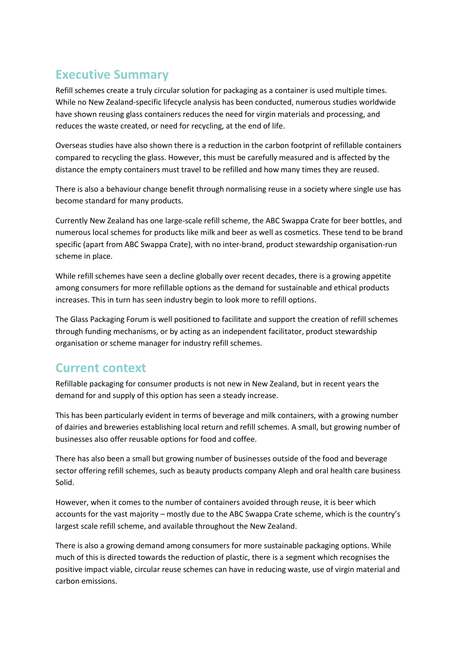## <span id="page-2-0"></span>**Executive Summary**

Refill schemes create a truly circular solution for packaging as a container is used multiple times. While no New Zealand-specific lifecycle analysis has been conducted, numerous studies worldwide have shown reusing glass containers reduces the need for virgin materials and processing, and reduces the waste created, or need for recycling, at the end of life.

Overseas studies have also shown there is a reduction in the carbon footprint of refillable containers compared to recycling the glass. However, this must be carefully measured and is affected by the distance the empty containers must travel to be refilled and how many times they are reused.

There is also a behaviour change benefit through normalising reuse in a society where single use has become standard for many products.

Currently New Zealand has one large-scale refill scheme, the ABC Swappa Crate for beer bottles, and numerous local schemes for products like milk and beer as well as cosmetics. These tend to be brand specific (apart from ABC Swappa Crate), with no inter-brand, product stewardship organisation-run scheme in place.

While refill schemes have seen a decline globally over recent decades, there is a growing appetite among consumers for more refillable options as the demand for sustainable and ethical products increases. This in turn has seen industry begin to look more to refill options.

The Glass Packaging Forum is well positioned to facilitate and support the creation of refill schemes through funding mechanisms, or by acting as an independent facilitator, product stewardship organisation or scheme manager for industry refill schemes.

## <span id="page-2-1"></span>**Current context**

Refillable packaging for consumer products is not new in New Zealand, but in recent years the demand for and supply of this option has seen a steady increase.

This has been particularly evident in terms of beverage and milk containers, with a growing number of dairies and breweries establishing local return and refill schemes. A small, but growing number of businesses also offer reusable options for food and coffee.

There has also been a small but growing number of businesses outside of the food and beverage sector offering refill schemes, such as beauty products company Aleph and oral health care business Solid.

However, when it comes to the number of containers avoided through reuse, it is beer which accounts for the vast majority – mostly due to the ABC Swappa Crate scheme, which is the country's largest scale refill scheme, and available throughout the New Zealand.

There is also a growing demand among consumers for more sustainable packaging options. While much of this is directed towards the reduction of plastic, there is a segment which recognises the positive impact viable, circular reuse schemes can have in reducing waste, use of virgin material and carbon emissions.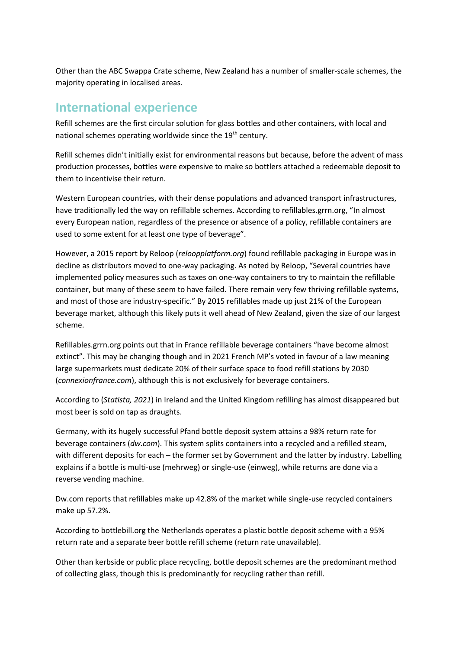Other than the ABC Swappa Crate scheme, New Zealand has a number of smaller-scale schemes, the majority operating in localised areas.

## <span id="page-3-0"></span>**International experience**

Refill schemes are the first circular solution for glass bottles and other containers, with local and national schemes operating worldwide since the 19<sup>th</sup> century.

Refill schemes didn't initially exist for environmental reasons but because, before the advent of mass production processes, bottles were expensive to make so bottlers attached a redeemable deposit to them to incentivise their return.

Western European countries, with their dense populations and advanced transport infrastructures, have traditionally led the way on refillable schemes. According to refillables.grrn.org, "In almost every European nation, regardless of the presence or absence of a policy, refillable containers are used to some extent for at least one type of beverage".

However, a 2015 report by Reloop (*reloopplatform.org*) found refillable packaging in Europe was in decline as distributors moved to one-way packaging. As noted by Reloop, "Several countries have implemented policy measures such as taxes on one-way containers to try to maintain the refillable container, but many of these seem to have failed. There remain very few thriving refillable systems, and most of those are industry-specific." By 2015 refillables made up just 21% of the European beverage market, although this likely puts it well ahead of New Zealand, given the size of our largest scheme.

Refillables.grrn.org points out that in France refillable beverage containers "have become almost extinct". This may be changing though and in 2021 French MP's voted in favour of a law meaning large supermarkets must dedicate 20% of their surface space to food refill stations by 2030 (*connexionfrance.com*), although this is not exclusively for beverage containers.

According to (*Statista, 2021*) in Ireland and the United Kingdom refilling has almost disappeared but most beer is sold on tap as draughts.

Germany, with its hugely successful Pfand bottle deposit system attains a 98% return rate for beverage containers (*dw.com*). This system splits containers into a recycled and a refilled steam, with different deposits for each – the former set by Government and the latter by industry. Labelling explains if a bottle is multi-use (mehrweg) or single-use (einweg), while returns are done via a reverse vending machine.

Dw.com reports that refillables make up 42.8% of the market while single-use recycled containers make up 57.2%.

According to bottlebill.org the Netherlands operates a plastic bottle deposit scheme with a 95% return rate and a separate beer bottle refill scheme (return rate unavailable).

Other than kerbside or public place recycling, bottle deposit schemes are the predominant method of collecting glass, though this is predominantly for recycling rather than refill.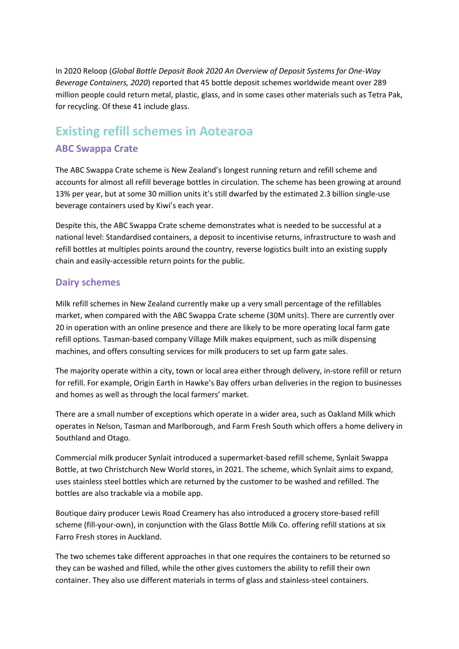In 2020 Reloop (*Global Bottle Deposit Book 2020 An Overview of Deposit Systems for One-Way Beverage Containers, 2020*) reported that 45 bottle deposit schemes worldwide meant over 289 million people could return metal, plastic, glass, and in some cases other materials such as Tetra Pak, for recycling. Of these 41 include glass.

## <span id="page-4-1"></span><span id="page-4-0"></span>**Existing refill schemes in Aotearoa ABC Swappa Crate**

The ABC Swappa Crate scheme is New Zealand's longest running return and refill scheme and accounts for almost all refill beverage bottles in circulation. The scheme has been growing at around 13% per year, but at some 30 million units it's still dwarfed by the estimated 2.3 billion single-use beverage containers used by Kiwi's each year.

Despite this, the ABC Swappa Crate scheme demonstrates what is needed to be successful at a national level: Standardised containers, a deposit to incentivise returns, infrastructure to wash and refill bottles at multiples points around the country, reverse logistics built into an existing supply chain and easily-accessible return points for the public.

#### <span id="page-4-2"></span>**Dairy schemes**

Milk refill schemes in New Zealand currently make up a very small percentage of the refillables market, when compared with the ABC Swappa Crate scheme (30M units). There are currently over 20 in operation with an online presence and there are likely to be more operating local farm gate refill options. Tasman-based company Village Milk makes equipment, such as milk dispensing machines, and offers consulting services for milk producers to set up farm gate sales.

The majority operate within a city, town or local area either through delivery, in-store refill or return for refill. For example, Origin Earth in Hawke's Bay offers urban deliveries in the region to businesses and homes as well as through the local farmers' market.

There are a small number of exceptions which operate in a wider area, such as Oakland Milk which operates in Nelson, Tasman and Marlborough, and Farm Fresh South which offers a home delivery in Southland and Otago.

Commercial milk producer Synlait introduced a supermarket-based refill scheme, Synlait Swappa Bottle, at two Christchurch New World stores, in 2021. The scheme, which Synlait aims to expand, uses stainless steel bottles which are returned by the customer to be washed and refilled. The bottles are also trackable via a mobile app.

Boutique dairy producer Lewis Road Creamery has also introduced a grocery store-based refill scheme (fill-your-own), in conjunction with the Glass Bottle Milk Co. offering refill stations at six Farro Fresh stores in Auckland.

The two schemes take different approaches in that one requires the containers to be returned so they can be washed and filled, while the other gives customers the ability to refill their own container. They also use different materials in terms of glass and stainless-steel containers.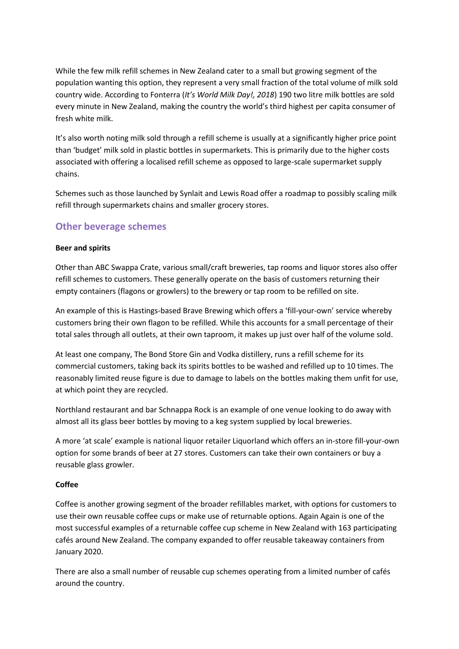While the few milk refill schemes in New Zealand cater to a small but growing segment of the population wanting this option, they represent a very small fraction of the total volume of milk sold country wide. According to Fonterra (*It's World Milk Day!, 2018*) 190 two litre milk bottles are sold every minute in New Zealand, making the country the world's third highest per capita consumer of fresh white milk.

It's also worth noting milk sold through a refill scheme is usually at a significantly higher price point than 'budget' milk sold in plastic bottles in supermarkets. This is primarily due to the higher costs associated with offering a localised refill scheme as opposed to large-scale supermarket supply chains.

Schemes such as those launched by Synlait and Lewis Road offer a roadmap to possibly scaling milk refill through supermarkets chains and smaller grocery stores.

#### <span id="page-5-0"></span>**Other beverage schemes**

#### **Beer and spirits**

Other than ABC Swappa Crate, various small/craft breweries, tap rooms and liquor stores also offer refill schemes to customers. These generally operate on the basis of customers returning their empty containers (flagons or growlers) to the brewery or tap room to be refilled on site.

An example of this is Hastings-based Brave Brewing which offers a 'fill-your-own' service whereby customers bring their own flagon to be refilled. While this accounts for a small percentage of their total sales through all outlets, at their own taproom, it makes up just over half of the volume sold.

At least one company, The Bond Store Gin and Vodka distillery, runs a refill scheme for its commercial customers, taking back its spirits bottles to be washed and refilled up to 10 times. The reasonably limited reuse figure is due to damage to labels on the bottles making them unfit for use, at which point they are recycled.

Northland restaurant and bar Schnappa Rock is an example of one venue looking to do away with almost all its glass beer bottles by moving to a keg system supplied by local breweries.

A more 'at scale' example is national liquor retailer Liquorland which offers an in-store fill-your-own option for some brands of beer at 27 stores. Customers can take their own containers or buy a reusable glass growler.

#### **Coffee**

Coffee is another growing segment of the broader refillables market, with options for customers to use their own reusable coffee cups or make use of returnable options. Again Again is one of the most successful examples of a returnable coffee cup scheme in New Zealand with 163 participating cafés around New Zealand. The company expanded to offer reusable takeaway containers from January 2020.

There are also a small number of reusable cup schemes operating from a limited number of cafés around the country.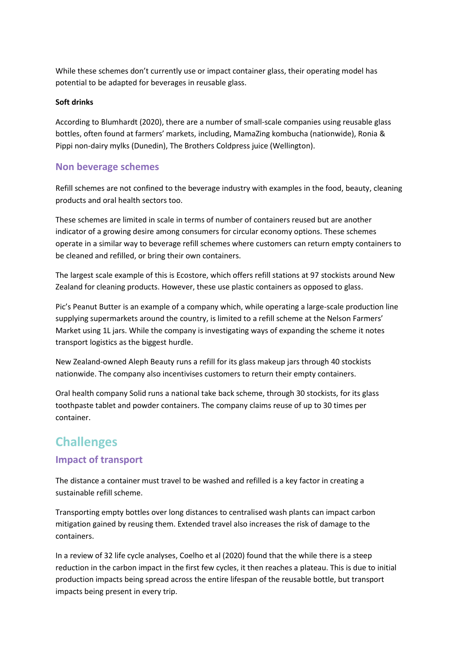While these schemes don't currently use or impact container glass, their operating model has potential to be adapted for beverages in reusable glass.

#### **Soft drinks**

According to Blumhardt (2020), there are a number of small-scale companies using reusable glass bottles, often found at farmers' markets, including, MamaZing kombucha (nationwide), Ronia & Pippi non-dairy mylks (Dunedin), The Brothers Coldpress juice (Wellington).

#### <span id="page-6-0"></span>**Non beverage schemes**

Refill schemes are not confined to the beverage industry with examples in the food, beauty, cleaning products and oral health sectors too.

These schemes are limited in scale in terms of number of containers reused but are another indicator of a growing desire among consumers for circular economy options. These schemes operate in a similar way to beverage refill schemes where customers can return empty containers to be cleaned and refilled, or bring their own containers.

The largest scale example of this is Ecostore, which offers refill stations at 97 stockists around New Zealand for cleaning products. However, these use plastic containers as opposed to glass.

Pic's Peanut Butter is an example of a company which, while operating a large-scale production line supplying supermarkets around the country, is limited to a refill scheme at the Nelson Farmers' Market using 1L jars. While the company is investigating ways of expanding the scheme it notes transport logistics as the biggest hurdle.

New Zealand-owned Aleph Beauty runs a refill for its glass makeup jars through 40 stockists nationwide. The company also incentivises customers to return their empty containers.

Oral health company Solid runs a national take back scheme, through 30 stockists, for its glass toothpaste tablet and powder containers. The company claims reuse of up to 30 times per container.

# <span id="page-6-1"></span>**Challenges**

#### <span id="page-6-2"></span>**Impact of transport**

The distance a container must travel to be washed and refilled is a key factor in creating a sustainable refill scheme.

Transporting empty bottles over long distances to centralised wash plants can impact carbon mitigation gained by reusing them. Extended travel also increases the risk of damage to the containers.

In a review of 32 life cycle analyses, Coelho et al (2020) found that the while there is a steep reduction in the carbon impact in the first few cycles, it then reaches a plateau. This is due to initial production impacts being spread across the entire lifespan of the reusable bottle, but transport impacts being present in every trip.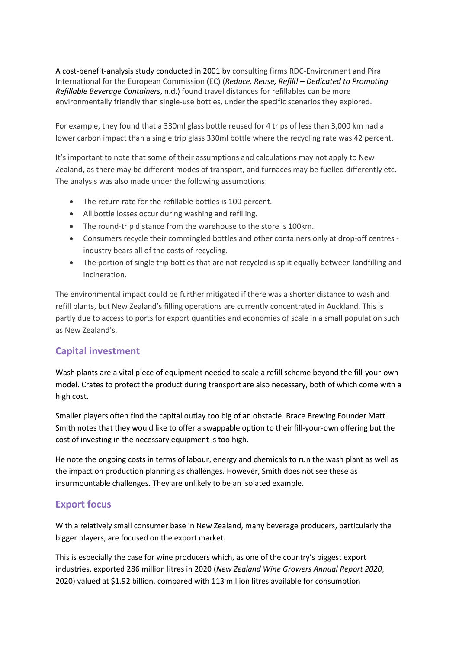A cost-benefit-analysis study conducted in 2001 by consulting firms RDC-Environment and Pira International for the European Commission (EC) (*Reduce, Reuse, Refill! – Dedicated to Promoting Refillable Beverage Containers*, n.d.) found travel distances for refillables can be more environmentally friendly than single-use bottles, under the specific scenarios they explored.

For example, they found that a 330ml glass bottle reused for 4 trips of less than 3,000 km had a lower carbon impact than a single trip glass 330ml bottle where the recycling rate was 42 percent.

It's important to note that some of their assumptions and calculations may not apply to New Zealand, as there may be different modes of transport, and furnaces may be fuelled differently etc. The analysis was also made under the following assumptions:

- The return rate for the refillable bottles is 100 percent.
- All bottle losses occur during washing and refilling.
- The round-trip distance from the warehouse to the store is 100km.
- Consumers recycle their commingled bottles and other containers only at drop-off centres industry bears all of the costs of recycling.
- The portion of single trip bottles that are not recycled is split equally between landfilling and incineration.

<span id="page-7-0"></span>The environmental impact could be further mitigated if there was a shorter distance to wash and refill plants, but New Zealand's filling operations are currently concentrated in Auckland. This is partly due to access to ports for export quantities and economies of scale in a small population such as New Zealand's.

#### **Capital investment**

Wash plants are a vital piece of equipment needed to scale a refill scheme beyond the fill-your-own model. Crates to protect the product during transport are also necessary, both of which come with a high cost.

Smaller players often find the capital outlay too big of an obstacle. Brace Brewing Founder Matt Smith notes that they would like to offer a swappable option to their fill-your-own offering but the cost of investing in the necessary equipment is too high.

He note the ongoing costs in terms of labour, energy and chemicals to run the wash plant as well as the impact on production planning as challenges. However, Smith does not see these as insurmountable challenges. They are unlikely to be an isolated example.

#### <span id="page-7-1"></span>**Export focus**

With a relatively small consumer base in New Zealand, many beverage producers, particularly the bigger players, are focused on the export market.

This is especially the case for wine producers which, as one of the country's biggest export industries, exported 286 million litres in 2020 (*New Zealand Wine Growers Annual Report 2020*, 2020) valued at \$1.92 billion, compared with 113 million litres available for consumption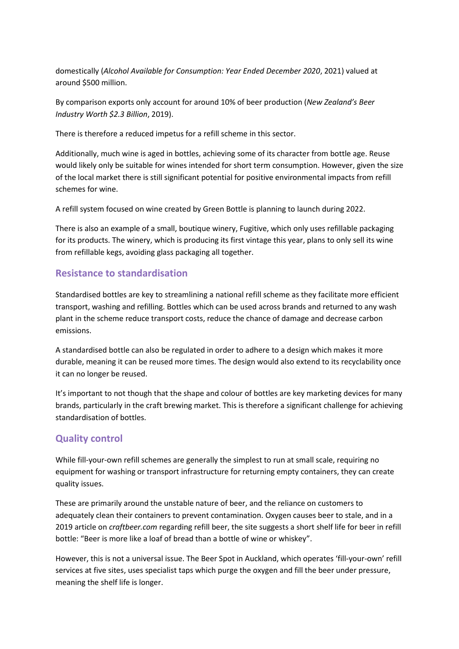domestically (*Alcohol Available for Consumption: Year Ended December 2020*, 2021) valued at around \$500 million.

By comparison exports only account for around 10% of beer production (*New Zealand's Beer Industry Worth \$2.3 Billion*, 2019).

There is therefore a reduced impetus for a refill scheme in this sector.

Additionally, much wine is aged in bottles, achieving some of its character from bottle age. Reuse would likely only be suitable for wines intended for short term consumption. However, given the size of the local market there is still significant potential for positive environmental impacts from refill schemes for wine.

A refill system focused on wine created by Green Bottle is planning to launch during 2022.

There is also an example of a small, boutique winery, Fugitive, which only uses refillable packaging for its products. The winery, which is producing its first vintage this year, plans to only sell its wine from refillable kegs, avoiding glass packaging all together.

#### <span id="page-8-0"></span>**Resistance to standardisation**

Standardised bottles are key to streamlining a national refill scheme as they facilitate more efficient transport, washing and refilling. Bottles which can be used across brands and returned to any wash plant in the scheme reduce transport costs, reduce the chance of damage and decrease carbon emissions.

A standardised bottle can also be regulated in order to adhere to a design which makes it more durable, meaning it can be reused more times. The design would also extend to its recyclability once it can no longer be reused.

It's important to not though that the shape and colour of bottles are key marketing devices for many brands, particularly in the craft brewing market. This is therefore a significant challenge for achieving standardisation of bottles.

### <span id="page-8-1"></span>**Quality control**

While fill-your-own refill schemes are generally the simplest to run at small scale, requiring no equipment for washing or transport infrastructure for returning empty containers, they can create quality issues.

These are primarily around the unstable nature of beer, and the reliance on customers to adequately clean their containers to prevent contamination. Oxygen causes beer to stale, and in a 2019 article on *craftbeer.com* regarding refill beer, the site suggests a short shelf life for beer in refill bottle: "Beer is more like a loaf of bread than a bottle of wine or whiskey".

However, this is not a universal issue. The Beer Spot in Auckland, which operates 'fill-your-own' refill services at five sites, uses specialist taps which purge the oxygen and fill the beer under pressure, meaning the shelf life is longer.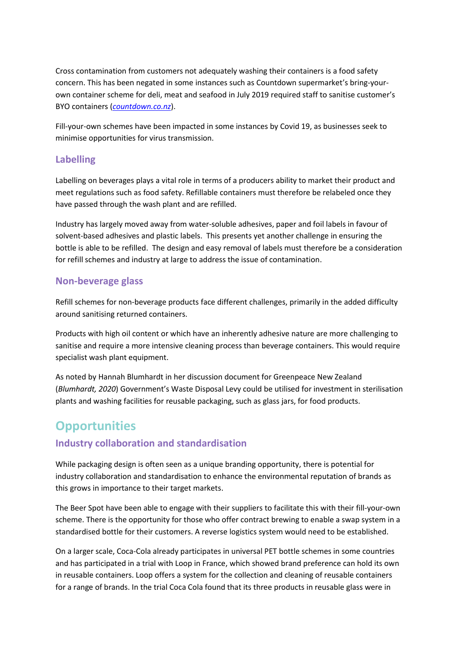Cross contamination from customers not adequately washing their containers is a food safety concern. This has been negated in some instances such as Countdown supermarket's bring-yourown container scheme for deli, meat and seafood in July 2019 required staff to sanitise customer's BYO containers (*[countdown.co.nz](http://www.countdown.co.nz/)*).

Fill-your-own schemes have been impacted in some instances by Covid 19, as businesses seek to minimise opportunities for virus transmission.

#### <span id="page-9-0"></span>**Labelling**

Labelling on beverages plays a vital role in terms of a producers ability to market their product and meet regulations such as food safety. Refillable containers must therefore be relabeled once they have passed through the wash plant and are refilled.

Industry has largely moved away from water-soluble adhesives, paper and foil labels in favour of solvent-based adhesives and plastic labels. This presents yet another challenge in ensuring the bottle is able to be refilled. The design and easy removal of labels must therefore be a consideration for refill schemes and industry at large to address the issue of contamination.

#### **Non-beverage glass**

Refill schemes for non-beverage products face different challenges, primarily in the added difficulty around sanitising returned containers.

Products with high oil content or which have an inherently adhesive nature are more challenging to sanitise and require a more intensive cleaning process than beverage containers. This would require specialist wash plant equipment.

As noted by Hannah Blumhardt in her discussion document for Greenpeace New Zealand (*Blumhardt, 2020*) Government's Waste Disposal Levy could be utilised for investment in sterilisation plants and washing facilities for reusable packaging, such as glass jars, for food products.

# <span id="page-9-1"></span>**Opportunities**

### <span id="page-9-2"></span>**Industry collaboration and standardisation**

While packaging design is often seen as a unique branding opportunity, there is potential for industry collaboration and standardisation to enhance the environmental reputation of brands as this grows in importance to their target markets.

The Beer Spot have been able to engage with their suppliers to facilitate this with their fill-your-own scheme. There is the opportunity for those who offer contract brewing to enable a swap system in a standardised bottle for their customers. A reverse logistics system would need to be established.

On a larger scale, Coca-Cola already participates in universal PET bottle schemes in some countries and has participated in a trial with Loop in France, which showed brand preference can hold its own in reusable containers. Loop offers a system for the collection and cleaning of reusable containers for a range of brands. In the trial Coca Cola found that its three products in reusable glass were in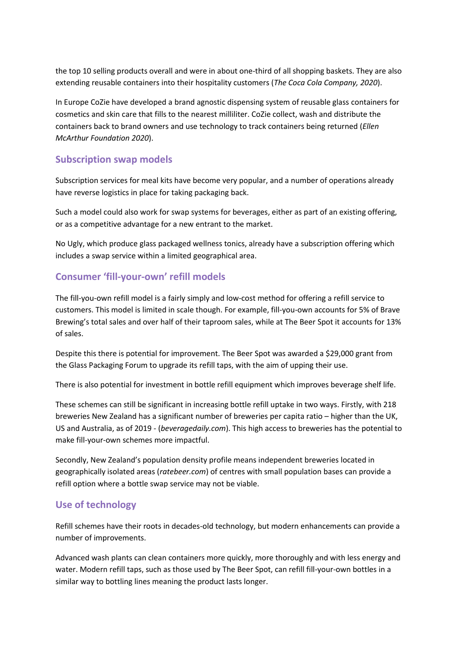the top 10 selling products overall and were in about one-third of all shopping baskets. They are also extending reusable containers into their hospitality customers (*The Coca Cola Company, 2020*).

In Europe CoZie have developed a brand agnostic dispensing system of reusable glass containers for cosmetics and skin care that fills to the nearest milliliter. CoZie collect, wash and distribute the containers back to brand owners and use technology to track containers being returned (*Ellen McArthur Foundation 2020*).

#### <span id="page-10-0"></span>**Subscription swap models**

Subscription services for meal kits have become very popular, and a number of operations already have reverse logistics in place for taking packaging back.

Such a model could also work for swap systems for beverages, either as part of an existing offering, or as a competitive advantage for a new entrant to the market.

No Ugly, which produce glass packaged wellness tonics, already have a subscription offering which includes a swap service within a limited geographical area.

#### <span id="page-10-1"></span>**Consumer 'fill-your-own' refill models**

The fill-you-own refill model is a fairly simply and low-cost method for offering a refill service to customers. This model is limited in scale though. For example, fill-you-own accounts for 5% of Brave Brewing's total sales and over half of their taproom sales, while at The Beer Spot it accounts for 13% of sales.

Despite this there is potential for improvement. The Beer Spot was awarded a \$29,000 grant from the Glass Packaging Forum to upgrade its refill taps, with the aim of upping their use.

There is also potential for investment in bottle refill equipment which improves beverage shelf life.

These schemes can still be significant in increasing bottle refill uptake in two ways. Firstly, with 218 breweries New Zealand has a significant number of breweries per capita ratio – higher than the UK, US and Australia, as of 2019 - (*beveragedaily.com*). This high access to breweries has the potential to make fill-your-own schemes more impactful.

Secondly, New Zealand's population density profile means independent breweries located in geographically isolated areas (*ratebeer.com*) of centres with small population bases can provide a refill option where a bottle swap service may not be viable.

#### <span id="page-10-2"></span>**Use of technology**

Refill schemes have their roots in decades-old technology, but modern enhancements can provide a number of improvements.

Advanced wash plants can clean containers more quickly, more thoroughly and with less energy and water. Modern refill taps, such as those used by The Beer Spot, can refill fill-your-own bottles in a similar way to bottling lines meaning the product lasts longer.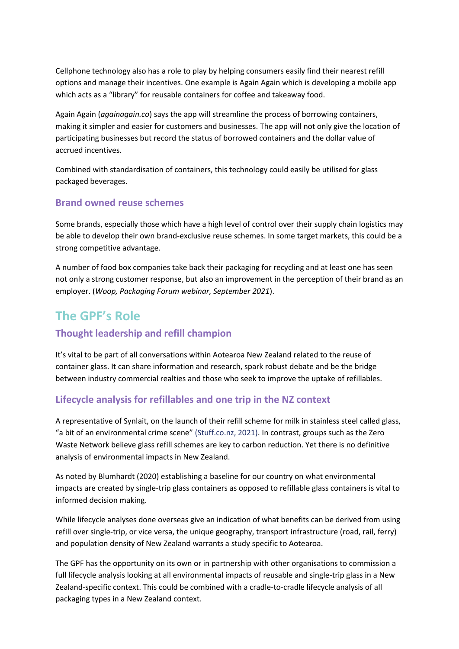Cellphone technology also has a role to play by helping consumers easily find their nearest refill options and manage their incentives. One example is Again Again which is developing a mobile app which acts as a "library" for reusable containers for coffee and takeaway food.

Again Again (*againagain.co*) says the app will streamline the process of borrowing containers, making it simpler and easier for customers and businesses. The app will not only give the location of participating businesses but record the status of borrowed containers and the dollar value of accrued incentives.

Combined with standardisation of containers, this technology could easily be utilised for glass packaged beverages.

#### <span id="page-11-0"></span>**Brand owned reuse schemes**

Some brands, especially those which have a high level of control over their supply chain logistics may be able to develop their own brand-exclusive reuse schemes. In some target markets, this could be a strong competitive advantage.

A number of food box companies take back their packaging for recycling and at least one has seen not only a strong customer response, but also an improvement in the perception of their brand as an employer. (*Woop, Packaging Forum webinar, September 2021*).

## <span id="page-11-1"></span>**The GPF's Role**

### <span id="page-11-2"></span>**Thought leadership and refill champion**

It's vital to be part of all conversations within Aotearoa New Zealand related to the reuse of container glass. It can share information and research, spark robust debate and be the bridge between industry commercial realties and those who seek to improve the uptake of refillables.

#### <span id="page-11-3"></span>**Lifecycle analysis for refillables and one trip in the NZ context**

A representative of Synlait, on the launch of their refill scheme for milk in stainless steel called glass, "a bit of an environmental crime scene" (Stuff.co.nz, 2021). In contrast, groups such as the Zero Waste Network believe glass refill schemes are key to carbon reduction. Yet there is no definitive analysis of environmental impacts in New Zealand.

As noted by Blumhardt (2020) establishing a baseline for our country on what environmental impacts are created by single-trip glass containers as opposed to refillable glass containers is vital to informed decision making.

While lifecycle analyses done overseas give an indication of what benefits can be derived from using refill over single-trip, or vice versa, the unique geography, transport infrastructure (road, rail, ferry) and population density of New Zealand warrants a study specific to Aotearoa.

The GPF has the opportunity on its own or in partnership with other organisations to commission a full lifecycle analysis looking at all environmental impacts of reusable and single-trip glass in a New Zealand-specific context. This could be combined with a cradle-to-cradle lifecycle analysis of all packaging types in a New Zealand context.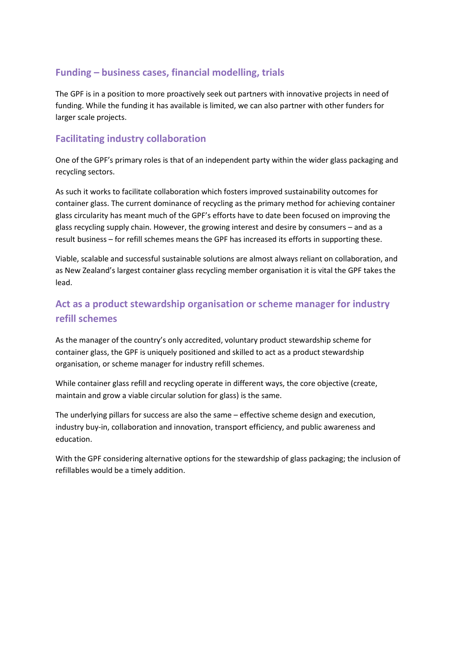### <span id="page-12-0"></span>**Funding – business cases, financial modelling, trials**

The GPF is in a position to more proactively seek out partners with innovative projects in need of funding. While the funding it has available is limited, we can also partner with other funders for larger scale projects.

#### <span id="page-12-1"></span>**Facilitating industry collaboration**

One of the GPF's primary roles is that of an independent party within the wider glass packaging and recycling sectors.

As such it works to facilitate collaboration which fosters improved sustainability outcomes for container glass. The current dominance of recycling as the primary method for achieving container glass circularity has meant much of the GPF's efforts have to date been focused on improving the glass recycling supply chain. However, the growing interest and desire by consumers – and as a result business – for refill schemes means the GPF has increased its efforts in supporting these.

Viable, scalable and successful sustainable solutions are almost always reliant on collaboration, and as New Zealand's largest container glass recycling member organisation it is vital the GPF takes the lead.

## <span id="page-12-2"></span>**Act as a product stewardship organisation or scheme manager for industry refill schemes**

As the manager of the country's only accredited, voluntary product stewardship scheme for container glass, the GPF is uniquely positioned and skilled to act as a product stewardship organisation, or scheme manager for industry refill schemes.

While container glass refill and recycling operate in different ways, the core objective (create, maintain and grow a viable circular solution for glass) is the same.

The underlying pillars for success are also the same – effective scheme design and execution, industry buy-in, collaboration and innovation, transport efficiency, and public awareness and education.

<span id="page-12-3"></span>With the GPF considering alternative options for the stewardship of glass packaging; the inclusion of refillables would be a timely addition.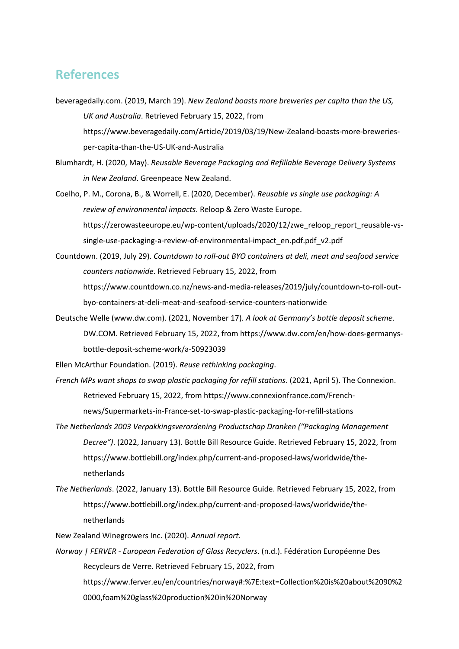#### **References**

- beveragedaily.com. (2019, March 19). *New Zealand boasts more breweries per capita than the US, UK and Australia*. Retrieved February 15, 2022, from https://www.beveragedaily.com/Article/2019/03/19/New-Zealand-boasts-more-breweriesper-capita-than-the-US-UK-and-Australia
- Blumhardt, H. (2020, May). *Reusable Beverage Packaging and Refillable Beverage Delivery Systems in New Zealand*. Greenpeace New Zealand.
- Coelho, P. M., Corona, B., & Worrell, E. (2020, December). *Reusable vs single use packaging: A review of environmental impacts*. Reloop & Zero Waste Europe. https://zerowasteeurope.eu/wp-content/uploads/2020/12/zwe\_reloop\_report\_reusable-vssingle-use-packaging-a-review-of-environmental-impact\_en.pdf.pdf\_v2.pdf
- Countdown. (2019, July 29). *Countdown to roll-out BYO containers at deli, meat and seafood service counters nationwide*. Retrieved February 15, 2022, from https://www.countdown.co.nz/news-and-media-releases/2019/july/countdown-to-roll-outbyo-containers-at-deli-meat-and-seafood-service-counters-nationwide
- Deutsche Welle (www.dw.com). (2021, November 17). *A look at Germany's bottle deposit scheme*. DW.COM. Retrieved February 15, 2022, from https://www.dw.com/en/how-does-germanysbottle-deposit-scheme-work/a-50923039

Ellen McArthur Foundation. (2019). *Reuse rethinking packaging*.

- *French MPs want shops to swap plastic packaging for refill stations*. (2021, April 5). The Connexion. Retrieved February 15, 2022, from https://www.connexionfrance.com/Frenchnews/Supermarkets-in-France-set-to-swap-plastic-packaging-for-refill-stations
- *The Netherlands 2003 Verpakkingsverordening Productschap Dranken ("Packaging Management Decree")*. (2022, January 13). Bottle Bill Resource Guide. Retrieved February 15, 2022, from https://www.bottlebill.org/index.php/current-and-proposed-laws/worldwide/thenetherlands
- *The Netherlands*. (2022, January 13). Bottle Bill Resource Guide. Retrieved February 15, 2022, from https://www.bottlebill.org/index.php/current-and-proposed-laws/worldwide/thenetherlands

New Zealand Winegrowers Inc. (2020). *Annual report*.

*Norway | FERVER - European Federation of Glass Recyclers*. (n.d.). Fédération Européenne Des Recycleurs de Verre. Retrieved February 15, 2022, from https://www.ferver.eu/en/countries/norway#:%7E:text=Collection%20is%20about%2090%2 0000,foam%20glass%20production%20in%20Norway